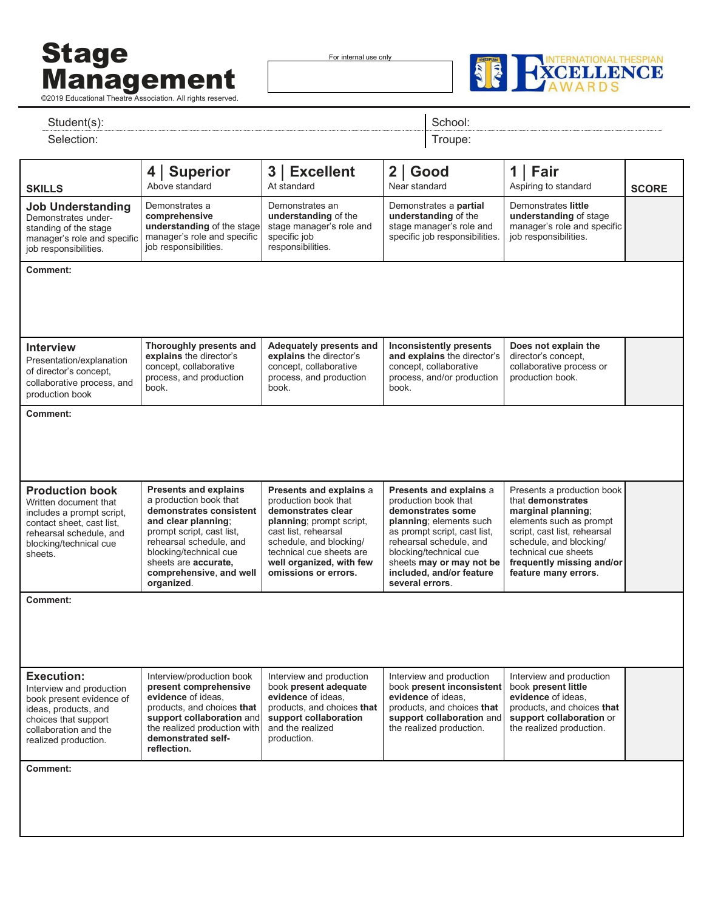## Stage Management **Management**

For internal use only



| Student(s):                                                                                                                                                                |                                                                                                                                                                                                                                                                     | School:                                                                                                                                                                                                                              |                                                                                                                                                                                                                                                                 |                                                                                                                                                                                                                                          |              |
|----------------------------------------------------------------------------------------------------------------------------------------------------------------------------|---------------------------------------------------------------------------------------------------------------------------------------------------------------------------------------------------------------------------------------------------------------------|--------------------------------------------------------------------------------------------------------------------------------------------------------------------------------------------------------------------------------------|-----------------------------------------------------------------------------------------------------------------------------------------------------------------------------------------------------------------------------------------------------------------|------------------------------------------------------------------------------------------------------------------------------------------------------------------------------------------------------------------------------------------|--------------|
| Selection:                                                                                                                                                                 |                                                                                                                                                                                                                                                                     |                                                                                                                                                                                                                                      |                                                                                                                                                                                                                                                                 |                                                                                                                                                                                                                                          |              |
| <b>SKILLS</b>                                                                                                                                                              | 4   Superior<br>Above standard                                                                                                                                                                                                                                      | 3   Excellent<br>At standard                                                                                                                                                                                                         | $2  $ Good<br>Near standard                                                                                                                                                                                                                                     | $1$   Fair<br>Aspiring to standard                                                                                                                                                                                                       | <b>SCORE</b> |
| <b>Job Understanding</b><br>Demonstrates under-<br>standing of the stage<br>manager's role and specific<br>job responsibilities.                                           | Demonstrates a<br>comprehensive<br>understanding of the stage<br>manager's role and specific<br>job responsibilities.                                                                                                                                               | Demonstrates an<br>understanding of the<br>stage manager's role and<br>specific job<br>responsibilities.                                                                                                                             | Demonstrates a partial<br>understanding of the<br>stage manager's role and<br>specific job responsibilities.                                                                                                                                                    | Demonstrates little<br>understanding of stage<br>manager's role and specific<br>job responsibilities.                                                                                                                                    |              |
| <b>Comment:</b>                                                                                                                                                            |                                                                                                                                                                                                                                                                     |                                                                                                                                                                                                                                      |                                                                                                                                                                                                                                                                 |                                                                                                                                                                                                                                          |              |
| <b>Interview</b><br>Presentation/explanation<br>of director's concept,<br>collaborative process, and<br>production book                                                    | Thoroughly presents and<br>explains the director's<br>concept, collaborative<br>process, and production<br>book.                                                                                                                                                    | Adequately presents and<br>explains the director's<br>concept, collaborative<br>process, and production<br>book.                                                                                                                     | <b>Inconsistently presents</b><br>and explains the director's<br>concept, collaborative<br>process, and/or production<br>book.                                                                                                                                  | Does not explain the<br>director's concept,<br>collaborative process or<br>production book.                                                                                                                                              |              |
| <b>Comment:</b>                                                                                                                                                            |                                                                                                                                                                                                                                                                     |                                                                                                                                                                                                                                      |                                                                                                                                                                                                                                                                 |                                                                                                                                                                                                                                          |              |
| <b>Production book</b><br>Written document that<br>includes a prompt script,<br>contact sheet, cast list,<br>rehearsal schedule, and<br>blocking/technical cue<br>sheets.  | <b>Presents and explains</b><br>a production book that<br>demonstrates consistent<br>and clear planning;<br>prompt script, cast list,<br>rehearsal schedule, and<br>blocking/technical cue<br>sheets are <b>accurate</b> ,<br>comprehensive, and well<br>organized. | Presents and explains a<br>production book that<br>demonstrates clear<br>planning; prompt script,<br>cast list, rehearsal<br>schedule, and blocking/<br>technical cue sheets are<br>well organized, with few<br>omissions or errors. | Presents and explains a<br>production book that<br>demonstrates some<br>planning; elements such<br>as prompt script, cast list,<br>rehearsal schedule, and<br>blocking/technical cue<br>sheets may or may not be<br>included, and/or feature<br>several errors. | Presents a production book<br>that demonstrates<br>marginal planning;<br>elements such as prompt<br>script, cast list, rehearsal<br>schedule, and blocking/<br>technical cue sheets<br>frequently missing and/or<br>feature many errors. |              |
| <b>Comment:</b>                                                                                                                                                            |                                                                                                                                                                                                                                                                     |                                                                                                                                                                                                                                      |                                                                                                                                                                                                                                                                 |                                                                                                                                                                                                                                          |              |
| <b>Execution:</b><br>Interview and production<br>book present evidence of<br>ideas, products, and<br>choices that support<br>collaboration and the<br>realized production. | Interview/production book<br>present comprehensive<br>evidence of ideas.<br>products, and choices that<br>support collaboration and<br>the realized production with<br>demonstrated self-<br>reflection.                                                            | Interview and production<br>book present adequate<br>evidence of ideas,<br>products, and choices that<br>support collaboration<br>and the realized<br>production.                                                                    | Interview and production<br>book present inconsistent<br>evidence of ideas.<br>products, and choices that<br>support collaboration and<br>the realized production.                                                                                              | Interview and production<br>book present little<br>evidence of ideas.<br>products, and choices that<br>support collaboration or<br>the realized production.                                                                              |              |
|                                                                                                                                                                            |                                                                                                                                                                                                                                                                     |                                                                                                                                                                                                                                      |                                                                                                                                                                                                                                                                 |                                                                                                                                                                                                                                          |              |
| Comment:                                                                                                                                                                   |                                                                                                                                                                                                                                                                     |                                                                                                                                                                                                                                      |                                                                                                                                                                                                                                                                 |                                                                                                                                                                                                                                          |              |
|                                                                                                                                                                            |                                                                                                                                                                                                                                                                     |                                                                                                                                                                                                                                      |                                                                                                                                                                                                                                                                 |                                                                                                                                                                                                                                          |              |